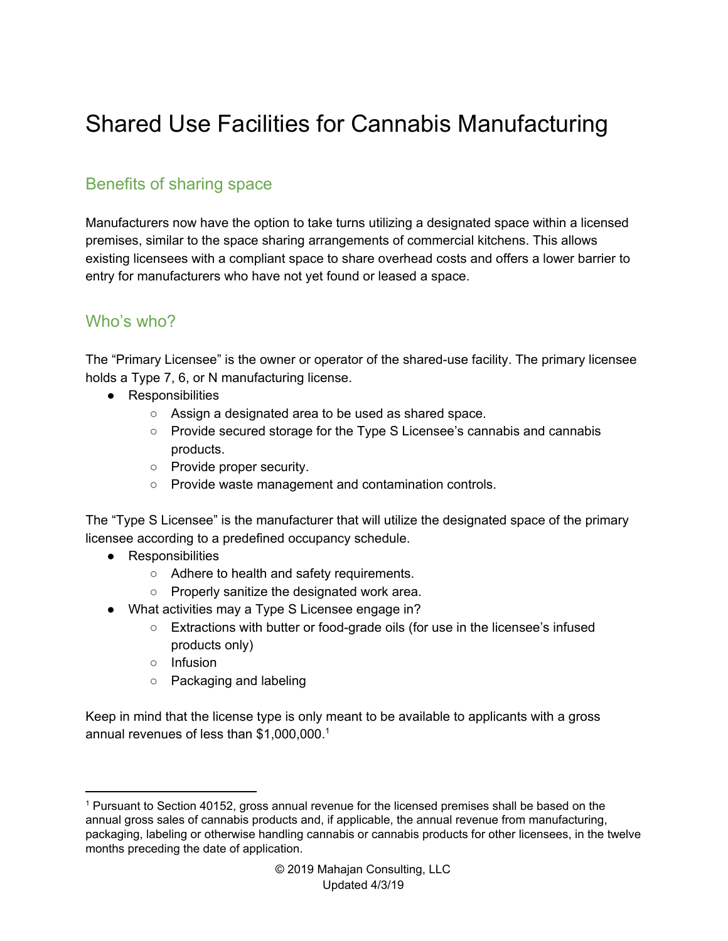# Shared Use Facilities for Cannabis Manufacturing

### Benefits of sharing space

Manufacturers now have the option to take turns utilizing a designated space within a licensed premises, similar to the space sharing arrangements of commercial kitchens. This allows existing licensees with a compliant space to share overhead costs and offers a lower barrier to entry for manufacturers who have not yet found or leased a space.

# Who's who?

The "Primary Licensee" is the owner or operator of the shared-use facility. The primary licensee holds a Type 7, 6, or N manufacturing license.

- Responsibilities
	- Assign a designated area to be used as shared space.
	- Provide secured storage for the Type S Licensee's cannabis and cannabis products.
	- Provide proper security.
	- Provide waste management and contamination controls.

The "Type S Licensee" is the manufacturer that will utilize the designated space of the primary licensee according to a predefined occupancy schedule.

- Responsibilities
	- Adhere to health and safety requirements.
	- Properly sanitize the designated work area.
- What activities may a Type S Licensee engage in?
	- Extractions with butter or food-grade oils (for use in the licensee's infused products only)
	- Infusion
	- Packaging and labeling

Keep in mind that the license type is only meant to be available to applicants with a gross annual revenues of less than \$1,000,000. 1

<sup>1</sup> Pursuant to Section 40152, gross annual revenue for the licensed premises shall be based on the annual gross sales of cannabis products and, if applicable, the annual revenue from manufacturing, packaging, labeling or otherwise handling cannabis or cannabis products for other licensees, in the twelve months preceding the date of application.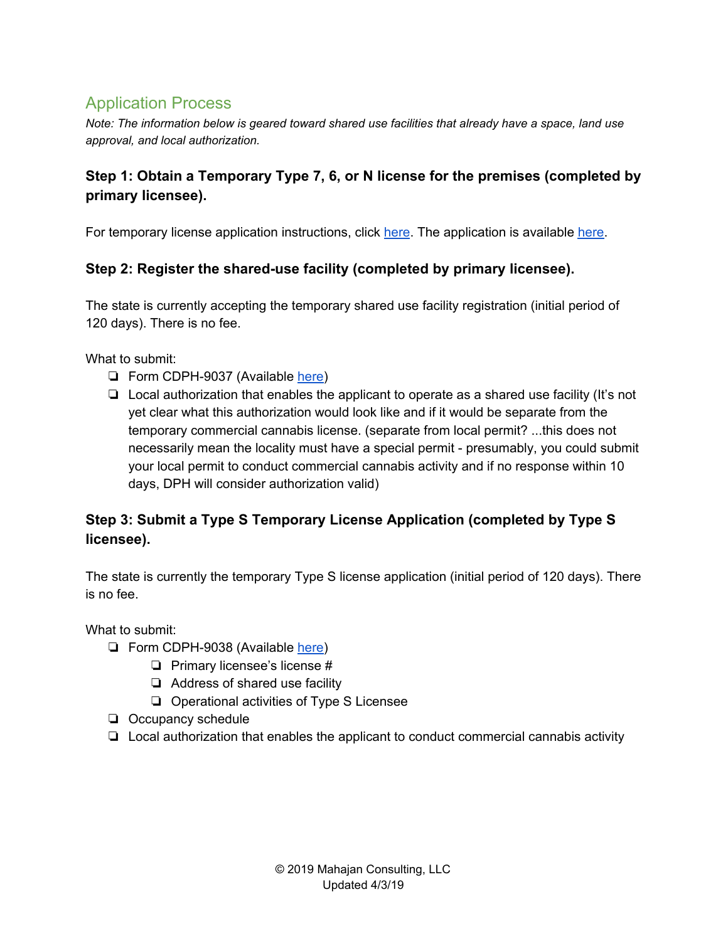# Application Process

*Note: The information below is geared toward shared use facilities that already have a space, land use approval, and local authorization.*

#### **Step 1: Obtain a Temporary Type 7, 6, or N license for the premises (completed by primary licensee).**

For temporary license application instructions, click [here](https://www.cdph.ca.gov/Programs/CEH/DFDCS/MCSB/CDPH%20Document%20Library/TempLicenseInstructions.pdf). The application is available [here](https://www.cdph.ca.gov/CDPH%20Document%20Library/ControlledForms/cdph9041.pdf).

#### **Step 2: Register the shared-use facility (completed by primary licensee).**

The state is currently accepting the temporary shared use facility registration (initial period of 120 days). There is no fee.

What to submit:

- ❏ Form CDPH-9037 (Available [here](https://www.cdph.ca.gov/CDPH%20Document%20Library/ControlledForms/cdph9037.PDF))
- ❏ Local authorization that enables the applicant to operate as a shared use facility (It's not yet clear what this authorization would look like and if it would be separate from the temporary commercial cannabis license. (separate from local permit? ...this does not necessarily mean the locality must have a special permit - presumably, you could submit your local permit to conduct commercial cannabis activity and if no response within 10 days, DPH will consider authorization valid)

#### **Step 3: Submit a Type S Temporary License Application (completed by Type S licensee).**

The state is currently the temporary Type S license application (initial period of 120 days). There is no fee.

What to submit:

- ❏ Form CDPH-9038 (Available [here](https://www.cdph.ca.gov/CDPH%20Document%20Library/ControlledForms/cdph9038.PDF))
	- ❏ Primary licensee's license #
	- ❏ Address of shared use facility
	- ❏ Operational activities of Type S Licensee
- ❏ Occupancy schedule
- ❏ Local authorization that enables the applicant to conduct commercial cannabis activity